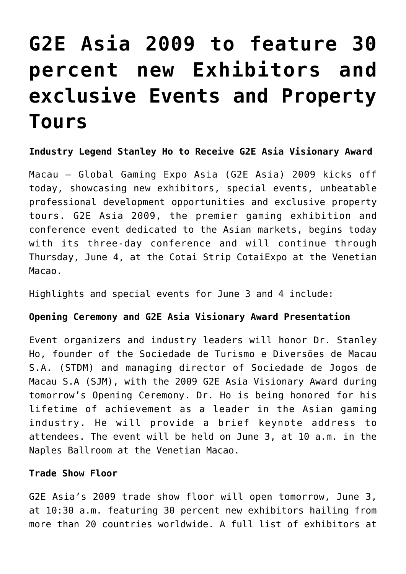# **[G2E Asia 2009 to feature 30](https://www.isa-guide.de/english-news/articles/25701.html) [percent new Exhibitors and](https://www.isa-guide.de/english-news/articles/25701.html) [exclusive Events and Property](https://www.isa-guide.de/english-news/articles/25701.html) [Tours](https://www.isa-guide.de/english-news/articles/25701.html)**

**Industry Legend Stanley Ho to Receive G2E Asia Visionary Award**

Macau – Global Gaming Expo Asia (G2E Asia) 2009 kicks off today, showcasing new exhibitors, special events, unbeatable professional development opportunities and exclusive property tours. G2E Asia 2009, the premier gaming exhibition and conference event dedicated to the Asian markets, begins today with its three-day conference and will continue through Thursday, June 4, at the Cotai Strip CotaiExpo at the Venetian Macao.

Highlights and special events for June 3 and 4 include:

### **Opening Ceremony and G2E Asia Visionary Award Presentation**

Event organizers and industry leaders will honor Dr. Stanley Ho, founder of the Sociedade de Turismo e Diversões de Macau S.A. (STDM) and managing director of Sociedade de Jogos de Macau S.A (SJM), with the 2009 G2E Asia Visionary Award during tomorrow's Opening Ceremony. Dr. Ho is being honored for his lifetime of achievement as a leader in the Asian gaming industry. He will provide a brief keynote address to attendees. The event will be held on June 3, at 10 a.m. in the Naples Ballroom at the Venetian Macao.

#### **Trade Show Floor**

G2E Asia's 2009 trade show floor will open tomorrow, June 3, at 10:30 a.m. featuring 30 percent new exhibitors hailing from more than 20 countries worldwide. A full list of exhibitors at